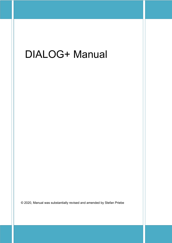# DIALOG+ Manual

© 2020, Manual was substantially revised and amended by Stefan Priebe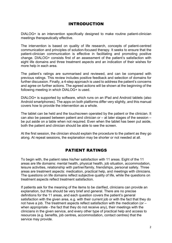# INTRODUCTION

DIALOG+ is an intervention specifically designed to make routine patient-clinician meetings therapeutically effective.

The intervention is based on quality of life research, concepts of patient-centred communication and principles of solution-focused therapy. It seeks to ensure that the patient-clinician communication is effective in facilitating and promoting positive change. DIALOG+ consists first of an assessment of the patient's satisfaction with eight life domains and three treatment aspects and an indication of their wishes for more help in each area.

The patient's ratings are summarised and reviewed, and can be compared with previous ratings. This review includes positive feedback and selection of domains for further discussion. Finally, a 4-step approach is used to address the patient's concerns and agree on further actions. The agreed actions will be shown at the beginning of the following meeting in which DIALOG+ is used.

DIALOG+ is supported by software, which runs on an iPad and Android tablets (also Android smartphones). The apps on both platforms differ very slightly, and this manual covers how to provide the intervention as a whole.

The tablet can be held and the touchscreen operated by the patient or the clinician. It can also be passed between patient and clinician or  $-$  at later stages of the session  $$ be put aside on a table when not required. Even when the tablet has been put aside, both the patient and clinician should be able to see the screen.

At the first session, the clinician should explain the procedure to the patient as they go along. At repeat sessions, the explanation may be shorter or not needed at all.

# PATIENT RATINGS

To begin with, the patient rates his/her satisfaction with 11 areas. Eight of the 11 areas are life domains: mental health, physical health, job situation, accommodation, leisure activities, relationship with partner/family, friendships, personal safety. Three areas are treatment aspects: medication, practical help, and meetings with clinicians. The questions on life domains reflect subjective quality of life, while the questions on treatment aspects reflect treatment satisfaction.

If patients ask for the meaning of the items to be clarified, clinicians can provide an explanation, but this should be very brief and general. There are no precise definitions for the 11 areas, and each question covers the patient's general satisfaction with the given area, e.g. with their current job or with the fact that they do not have a job. The treatment aspects reflect satisfaction with the medication (or – when appropriate - the fact that they do not receive any), their meetings with the clinicians in the given service, and every other type of practical help and access to resources (e.g. benefits, job centres, accommodation, contact centres) that the service may provide.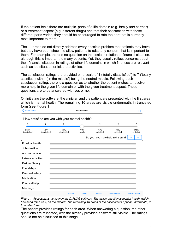If the patient feels there are multiple parts of a life domain (e.g. family *and* partner) or a treatment aspect (e.g. different drugs) and that their satisfaction with these different parts varies, they should be encouraged to rate the part that is currently most important to them.

The 11 areas do not directly address every possible problem that patients may have, but they have been shown to allow patients to raise any concern that is important to them. For example, there is no question on the scale in relation to financial situation, although this is important to many patients. Yet, they usually reflect concerns about their financial situation in ratings of other life domains in which finances are relevant such as job situation or leisure activities.

The satisfaction ratings are provided on a scale of 1 ('totally dissatisfied') to 7 ('totally satisfied') with 4 ('in the middle') being the neutral middle. Following each satisfaction rating, there is a question as to whether the patient wishes to receive more help in the given life domain or with the given treatment aspect. These questions are to be answered with yes or no.

On initiating the software, the clinician and the patient are presented with the first area, which is mental health. The remaining 10 areas are visible underneath, in truncated form (see Figure 1).



*Figure 1: Assessment, as seen in the DIALOG software. The active question is mental health, which has been rated as 4, 'in the middle'. The remaining 10 areas of the assessment appear underneath, in truncated form*

The patient provides ratings for each area. When answering a question, the other questions are truncated, with the already provided answers still visible. The ratings should not be discussed at this stage.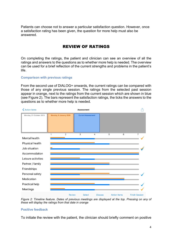Patients can choose not to answer a particular satisfaction question. However, once a satisfaction rating has been given, the question for more help must also be answered.

# REVIEW OF RATINGS

On completing the ratings, the patient and clinician can see an overview of all the ratings and answers to the questions as to whether more help is needed. The overview can be used for a brief reflection of the current strengths and problems in the patient's life.

#### **Comparison with previous ratings**

From the second use of DIALOG+ onwards, the current ratings can be compared with those of any single previous session. The ratings from the selected past session appear in orange, next to the ratings from the current session which are shown in blue (see Figure 2). The bars represent the satisfaction ratings, the ticks the answers to the questions as to whether more help is needed.



*Figure 2: Timeline feature. Dates of previous meetings are displayed at the top. Pressing on any of these will display the ratings from that date in orange*

#### **Positive feedback**

To initiate the review with the patient, the clinician should briefly comment on positive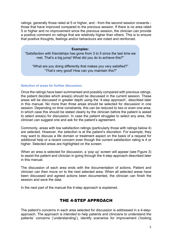ratings, generally those rated at 5 or higher, and - from the second session onwards those that have improved compared to the previous session. If there is no area rated 5 or higher and no improvement since the previous session, the clinician can provide a positive comment on ratings that are relatively higher than others. This is to ensure that positive thoughts, feelings and/or behaviours are noted and reinforced.

#### **Examples:**

"Satisfaction with friendships has gone from 3 to 5 since the last time we met. That's a big jump! What did you do to achieve this?"

"What are you doing differently that makes you very satisfied?" "That's very good! How can you maintain this?"

#### **Selection of areas for further discussion**

Once the ratings have been summarised and possibly compared with previous ratings, the patient decides which area(s) should be discussed in the current session. These areas will be discussed in greater depth using the '4-step approach', described later in this manual. No more than three areas should be selected for discussion in one session. Depending on time constraints, this can be reduced to two or even one area, in which case this should be stated clearly by the clinician before the patient is asked to select area(s) for discussion. In case the patient struggles to select any area, the clinician can suggest one and ask for the patient's agreement.

Commonly, areas with low satisfaction ratings (particularly those with ratings below 4) are selected. However, the selection is at the patient's discretion. For example, they may want to discuss a life domain or treatment aspect on the basis of a request for additional help or a recent concern even though the current satisfaction rating is 4 or higher. Selected areas are highlighted on the screen.

When an area is selected for discussion, a 'pop up' screen will appear (see Figure 3) to assist the patient and clinician in going through the 4-step approach described later in this manual.

The discussion of each area ends with the documentation of actions. Patient and clinician can then move on to the next selected area. When all selected areas have been discussed and agreed actions been documented, the clinician can finish the session and save the data.

In the next part of the manual the 4-step approach is explained.

# THE 4-STEP APPROACH

The patient's concerns in each area selected for discussion is addressed in a 4-stepapproach. The approach is intended to help patients and clinicians to understand the patients' concerns ('understanding'), identify scenarios for improvement ('looking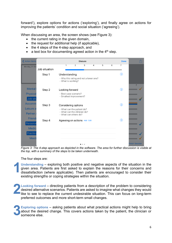forward'), explore options for actions ('exploring'), and finally agree on actions for improving the patients' condition and social situation ('agreeing').

When discussing an area, the screen shows (see Figure 3):

- the current rating in the given domain,
- the request for additional help (if applicable),
- the 4 steps of the 4-step approach, and
- a text box for documenting agreed action in the  $4<sup>th</sup>$  step.

| K Action Items  |                                        | <b>Discuss</b>                                               |                |                                  |   |   |   | <b>Done</b> | гĥ                    |
|-----------------|----------------------------------------|--------------------------------------------------------------|----------------|----------------------------------|---|---|---|-------------|-----------------------|
| Monday, 21 Oct  | Job situation                          | 1                                                            | $\overline{2}$ | 3                                | 4 | 5 | 6 | 7           |                       |
|                 |                                        |                                                              |                |                                  |   |   |   |             |                       |
|                 | Step 1                                 | Understanding                                                |                |                                  |   |   |   | (i)         |                       |
|                 |                                        | - Why this rating and not a lower one?<br>- What is working? |                |                                  |   |   |   |             |                       |
| <b>Mental</b>   |                                        |                                                              |                |                                  |   |   |   |             | $\overline{7}$        |
|                 | Step 2                                 | Looking forward                                              |                |                                  |   |   |   | $\odot$     |                       |
| <b>Physical</b> |                                        | - Best case scenario?<br>- Smallest improvement?             |                |                                  |   |   |   |             |                       |
| Job situ        |                                        |                                                              |                |                                  |   |   |   |             |                       |
| <b>Accomm</b>   | Step 3                                 | Considering options                                          |                |                                  |   |   |   | $\odot$     |                       |
| Leisure a       |                                        | - What can the patient do?                                   |                |                                  |   |   |   |             |                       |
| Partner         |                                        | - What can the clinician do?<br>- What can others do?        |                |                                  |   |   |   |             |                       |
| <b>Friend:</b>  | Step 4<br>Agreeing on actions Add Edit |                                                              |                |                                  |   |   |   | (i)         |                       |
| Personal        |                                        |                                                              |                |                                  |   |   |   |             |                       |
| <b>Medic</b>    |                                        |                                                              |                |                                  |   |   |   |             |                       |
| Practica        |                                        |                                                              |                |                                  |   |   |   |             |                       |
| <b>Meet</b>     |                                        |                                                              |                |                                  |   |   |   |             |                       |
|                 |                                        |                                                              |                | $\qquad \qquad \circ$<br>$\circ$ |   |   |   |             | <b>Finish Session</b> |

*Figure 3: The 4-step approach as depicted in the software. The area for further discussion is visible at the top, with a summary of the steps to be taken underneath.*

The four steps are:

**Understanding** – exploring both positive and negative aspects of the situation in the given area. Patients are first asked to explain the reasons for their concerns and dissatisfaction (where applicable). Then patients are encouraged to consider their existing strengths or coping strategies within the situation. **1**

**Looking forward** – directing patients from a description of the problem to considering desired alternative scenarios. Patients are asked to imagine what changes they would like to see to replace the current undesirable situation. This can focus on long-term preferred outcomes and more short-term small changes. **2**

**Exploring options** – asking patients about what practical actions might help to bring about the desired change. This covers actions taken by the patient, the clinician or someone else. **3**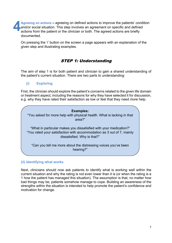**Agreeing on actions –** agreeing on defined actions to improve the patients' condition and/or social situation. This step involves an agreement on specific and defined actions from the patient or the clinician or both. The agreed actions are briefly documented. **4**

On pressing the 'i' button on the screen a page appears with an explanation of the given step and illustrating examples.

# STEP 1: Understanding

The aim of step 1 is for both patient and clinician to gain a shared understanding of the patient's current situation. There are two parts to understanding:

**(i) Exploring**

First, the clinician should explore the patient's concerns related to the given life domain or treatment aspect, including the reasons for why they have selected it for discussion, e.g. why they have rated their satisfaction as low or feel that they need more help.



## **(ii) Identifying what works**

Next, clinicians should now ask patients to identify what is working well within the current situation and why the rating is not even lower than it is (or when the rating is a 1 how the patient has managed this situation). The assumption is that, no matter how bad things may be, patients somehow manage to cope. Building an awareness of the strengths within the situation is intended to help promote the patient's confidence and motivation for change.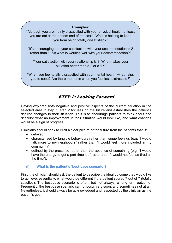## **Examples:**

"Although you are mainly dissatisfied with your physical health, at least you are not at the bottom end of the scale. What is helping to keep you from being totally dissatisfied?"

"It's encouraging that your satisfaction with your accommodation is 2 rather than 1. So what is working well with your accommodation?"

"Your satisfaction with your relationship is 3. What makes your situation better than a 2 or a 1?"

"When you feel totally dissatisfied with your mental health, what helps you to cope? Are there moments when you feel less distressed?"

# STEP 2: Looking Forward

Having explored both negative and positive aspects of the current situation in the selected area in step 1, step 2 focuses on the future and establishes the patient's desired changes to their situation. This is to encourage patients to think about and describe what an improvement in their situation would look like, and what changes would be a sign of progress.

Clinicians should seek to elicit a clear picture of the future from the patients that is:

- detailed
- characterised by tangible behaviours rather than vague feelings (e.g. "I would talk more to my neighbours" rather than "I would feel more included in my community")
- defined by the presence rather than the absence of something (e.g. "I would have the energy to get a part-time job" rather than "I would not feel as tired all the time").

## **(i) What is the patient's 'best-case scenario'?**

First, the clinician should ask the patient to describe the ideal outcome they would like to achieve; essentially, what would be different if the patient scored 7 out of 7 (totally satisfied). The best-case scenario is often, but not always, a long-term outcome. Frequently, the best-case scenario cannot occur very soon, and sometimes not at all. Nevertheless, it should always be acknowledged and respected by the clinician as the patient's goal.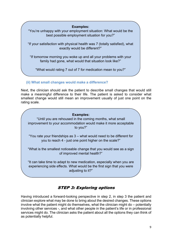## **Examples:**

"You're unhappy with your employment situation: What would be the best possible employment situation for you?"

"If your satisfaction with physical health was 7 (totally satisfied), what exactly would be different?"

"If tomorrow morning you woke up and all your problems with your family had gone, what would that situation look like?"

"What would rating 7 out of 7 for medication mean to you?"

## **(ii) What small changes would make a difference?**

Next, the clinician should ask the patient to describe small changes that would still make a meaningful difference to their life. The patient is asked to consider what smallest change would still mean an improvement usually of just one point on the rating scale.

## **Examples:**

"Until you are rehoused in the coming months, what small improvement to your accommodation would make it more acceptable to you?"

"You rate your friendships as 3 – what would need to be different for you to reach 4 - just one point higher on the scale?"

"What is the smallest noticeable change that you would see as a sign of improved mental health?"

"It can take time to adapt to new medication, especially when you are experiencing side effects. What would be the first sign that you were adjusting to it?"

# STEP 3: Exploring options

Having introduced a forward-looking perspective in step 2, in step 3 the patient and clinician explore what may be done to bring about the desired changes. These options involve what the patient might do themselves, what the clinician might do – potentially involving other services -, and what other people in the patient's life or in professional services might do. The clinician asks the patient about all the options they can think of as potentially helpful.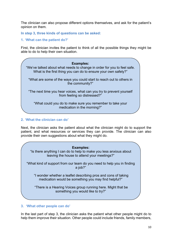The clinician can also propose different options themselves, and ask for the patient's opinion on them.

**In step 3, three kinds of questions can be asked:** 

**1. 'What can the patient do?'**

First, the clinician invites the patient to think of all the possible things they might be able to do to help their own situation.



## **2. 'What the clinician can do'**

Next, the clinician asks the patient about what the clinician might do to support the patient, and what resources or services they can provide. The clinician can also provide their own suggestions about what they might do.

#### **Examples:**

"Is there anything I can do to help to make you less anxious about leaving the house to attend your meetings?"

"What kind of support from our team do you need to help you in finding a job?"

"I wonder whether a leaflet describing pros and cons of taking medication would be something you may find helpful?"

"There is a Hearing Voices group running here. Might that be something you would like to try?"

## **3. 'What other people can do'**

In the last part of step 3, the clinician asks the patient what other people might do to help them improve their situation. Other people could include friends, family members,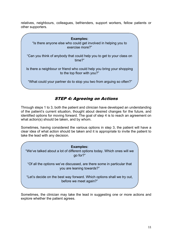relatives, neighbours, colleagues, befrienders, support workers, fellow patients or other supporters.



# STEP 4: Agreeing on Actions

Through steps 1 to 3, both the patient and clinician have developed an understanding of the patient's current situation, thought about desired changes for the future, and identified options for moving forward. The goal of step 4 is to reach an agreement on what action(s) should be taken, and by whom.

Sometimes, having considered the various options in step 3, the patient will have a clear idea of what action should be taken and it is appropriate to invite the patient to take the lead with any decision.

#### **Examples:**

"We've talked about a lot of different options today. Which ones will we go for?"

"Of all the options we've discussed, are there some in particular that you are leaning towards?"

"Let's decide on the best way forward. Which options shall we try out, before we meet again?"

Sometimes, the clinician may take the lead in suggesting one or more actions and explore whether the patient agrees.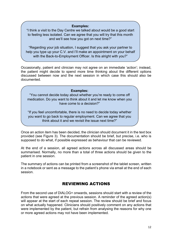#### **Examples:**

"I think a visit to the Day Centre we talked about would be a good start to feeling less isolated. Can we agree that you will try that this month and we'll see how you got on next time?"

"Regarding your job situation, I suggest that you ask your partner to help you type up your C.V. and I'll make an appointment on your behalf with the Back-to-Employment Officer. Is this alright with you?"

Occasionally, patient and clinician may not agree on an immediate 'action'; instead, the patient might decide to spend more time thinking about the different options discussed between now and the next session in which case this should also be documented.

#### **Examples:**

"You cannot decide today about whether you're ready to come off medication. Do you want to think about it and let me know when you have come to a decision?"

"If you feel uncomfortable, there is no need to decide today whether you want to go back to regular employment. Can we agree that you think about it and we revisit the issue next time?"

Once an action item has been decided, the clinician should document it in the text box provided (see Figure 3). The documentation should be brief, but precise, i.e. who is supposed to do what, if possible expressed as behaviour that can be reviewed.

At the end of a session, all agreed actions across all discussed areas should be At the end of a session, an agreed actions across an discussed areas should be summarised. Normally, no more than a total of three actions should be given to the patient in one session.

The summary of actions can be printed from a screenshot of the tablet screen, written in a notebook or sent as a message to the patient's phone via email at the end of each session.

# REVIEWING ACTIONS

From the second use of DIALOG+ onwards, sessions should start with a review of the actions that were agreed at the previous session. A reminder of the agreed action(s) will appear at the start of each repeat session. The review should be brief and focus on what actually happened. Clinicians should positively comment on any actions that were implemented by the patient, but refrain from analysing the reasons for why one or more agreed actions may not have been implemented.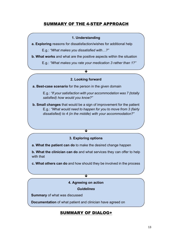# SUMMARY OF THE 4-STEP APPROACH

#### **1. Understanding**

**a. Exploring** reasons for dissatisfaction/wishes for additional help

E.g.: *"What makes you dissatisfied with…?"*

**b. What works** and what are the positive aspects within the situation

E.g.: *"What makes you rate your medication 3 rather than 1?"*

#### **2. Looking forward**

 $\overline{\mathbf{J}}$ 

**a. Best-case scenario** for the person in the given domain

E.g.: *"If your satisfaction with your accommodation was 7 (totally satisfied) how would you know?"*

**b. Small changes** that would be a sign of improvement for the patient E.g.: *"What would need to happen for you to move from 3 (fairly dissatisfied) to 4 (in the middle) with your accommodation?"* 

#### **3. Exploring options**

 $\overline{\mathbf{r}}$ 

**a. What the patient can do** to make the desired change happen

**b. What the clinician can do** and what services they can offer to help with that

**c. What others can do** and how should they be involved in the process

## $\overline{\mathbf{v}}$

## **4. Agreeing on action**

## *Guidelines*

**Summary** of what was discussed

**Documentation** of what patient and clinician have agreed on

# SUMMARY OF DIALOG+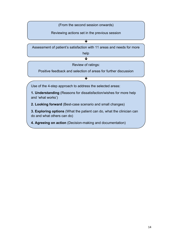(From the second session onwards)

Reviewing actions set in the previous session

 $\overline{\textbf{v}}$ 

Assessment of patient's satisfaction with 11 areas and needs for more

 $\overline{\textbf{t}}$  $\mathsf{S}$  is a greed, you'll keep thinking about the various housing about the various housing options and we'll keep revisit the matter next time. The matter next time  $\mathbf{u}$ help

Review of ratings:

Positive feedback and selection of areas for further discussion

 $\overline{\textbf{v}}$ 

 $\mathbf{S}$  is a greed, you'll keep thinking about the various housing about the various housing options and we'll keep

Use of the 4-step approach to address the selected areas:

"So it's agreed, you'll keep thinking about the various housing about the various housing options and we'll keep **1. Understanding** (Reasons for dissatisfaction/wishes for more help and 'what works')

**2. Looking forward** (Best-case scenario and small changes)

**3. Exploring options** (What the patient can do, what the clinician can do and what others can do)

**4. Agreeing on action** (Decision-making and documentation)